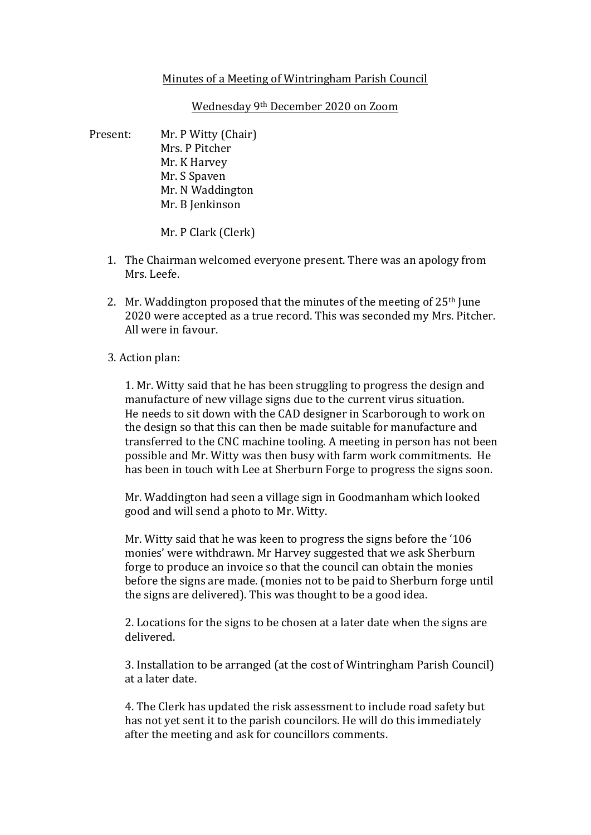## Minutes of a Meeting of Wintringham Parish Council

Wednesday 9<sup>th</sup> December 2020 on Zoom

Present: Mr. P Witty (Chair) Mrs. P Pitcher Mr. K Harvey Mr. S Spaven Mr. N Waddington Mr. B Jenkinson

Mr. P Clark (Clerk)

- 1. The Chairman welcomed everyone present. There was an apology from Mrs. Leefe.
- 2. Mr. Waddington proposed that the minutes of the meeting of  $25<sup>th</sup>$  June 2020 were accepted as a true record. This was seconded my Mrs. Pitcher. All were in favour.

## 3. Action plan:

1. Mr. Witty said that he has been struggling to progress the design and manufacture of new village signs due to the current virus situation. He needs to sit down with the CAD designer in Scarborough to work on the design so that this can then be made suitable for manufacture and transferred to the CNC machine tooling. A meeting in person has not been possible and Mr. Witty was then busy with farm work commitments. He has been in touch with Lee at Sherburn Forge to progress the signs soon.

Mr. Waddington had seen a village sign in Goodmanham which looked good and will send a photo to Mr. Witty.

Mr. Witty said that he was keen to progress the signs before the '106 monies' were withdrawn. Mr Harvey suggested that we ask Sherburn forge to produce an invoice so that the council can obtain the monies before the signs are made. (monies not to be paid to Sherburn forge until the signs are delivered). This was thought to be a good idea.

2. Locations for the signs to be chosen at a later date when the signs are delivered.

3. Installation to be arranged (at the cost of Wintringham Parish Council) at a later date.

4. The Clerk has updated the risk assessment to include road safety but has not yet sent it to the parish councilors. He will do this immediately after the meeting and ask for councillors comments.